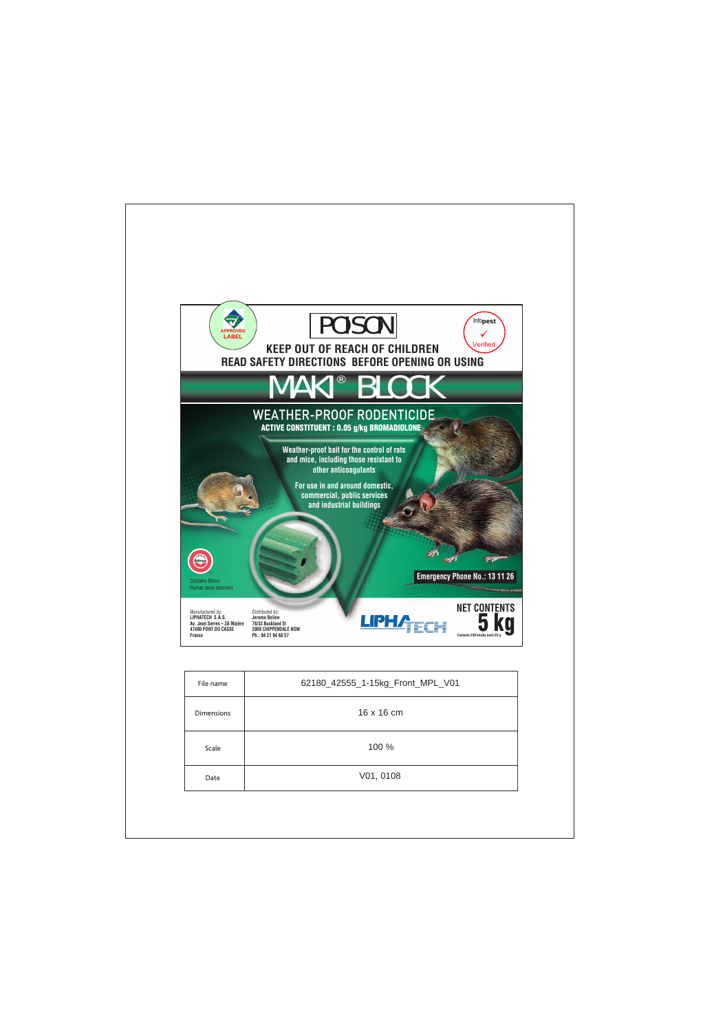





## **KEEP OUT OF REACH OF CHILDREN READ SAFETY DIRECTIONS BEFORE OPENING OR USING**

## **MAKI®** BLOCK

### **ACTIVE CONSTITUENT : 0.05 g/kg BROMADIOLONE** WEATHER-PROOF RODENTICIDE

**Weather-proof bait for the control of rats and mice, including those resistant to other anticoagulants**

**For use in and around domestic, commercial, public services and industrial buildings**

Contains Bitrex® Human taste deterrent

Manufactured by: **LIPHATECH S.A.S. Av. Jean Serres – ZA Malère 47480 PONT DU CASSE France**

Distributed by: **Jerome Beline 78/33 Buckland St 2008 CHIPPENDALE NSW Ph.: 04 21 94 68 57**





**Emergency Phone No.: 13 11 26**

**NET CONTENTS**

 $\mu$  . The construction of  $\mu$ 

**5 kg Contains 250 blocks each 20 g**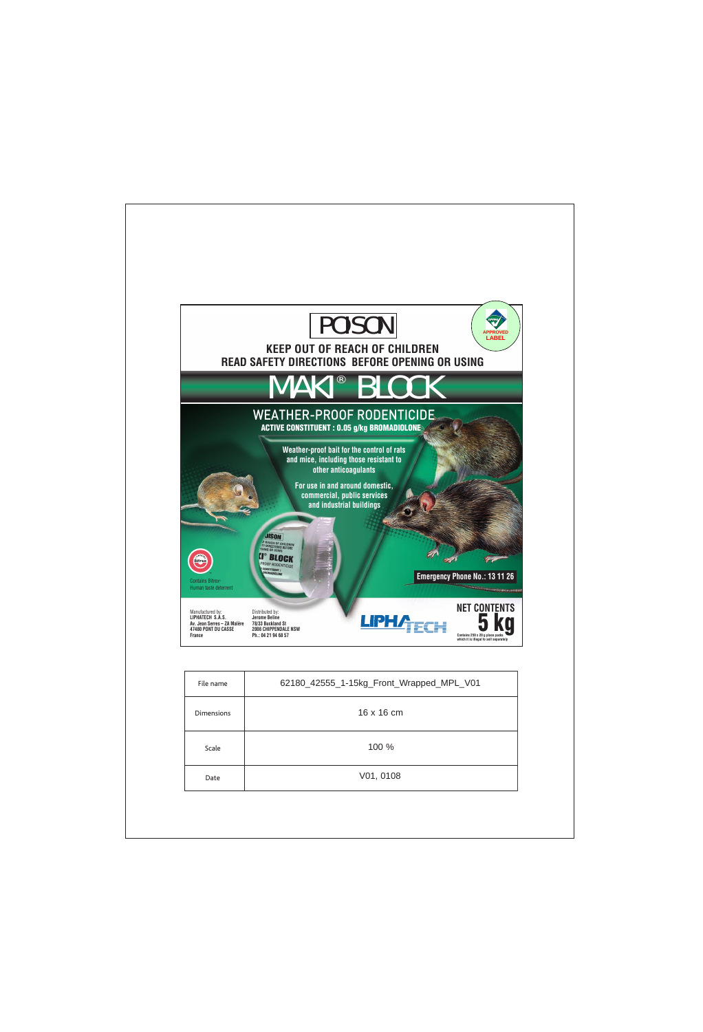# POISON



## **KEEP OUT OF REACH OF CHILDREN READ SAFETY DIRECTIONS BEFORE OPENING OR USING**



| File name         | 62180_42555_1-15kg_Front_Wrapped_MPL_V01 |
|-------------------|------------------------------------------|
| <b>Dimensions</b> | 16 x 16 cm                               |
| Scale             | 100 %                                    |
| Date              | V01, 0108                                |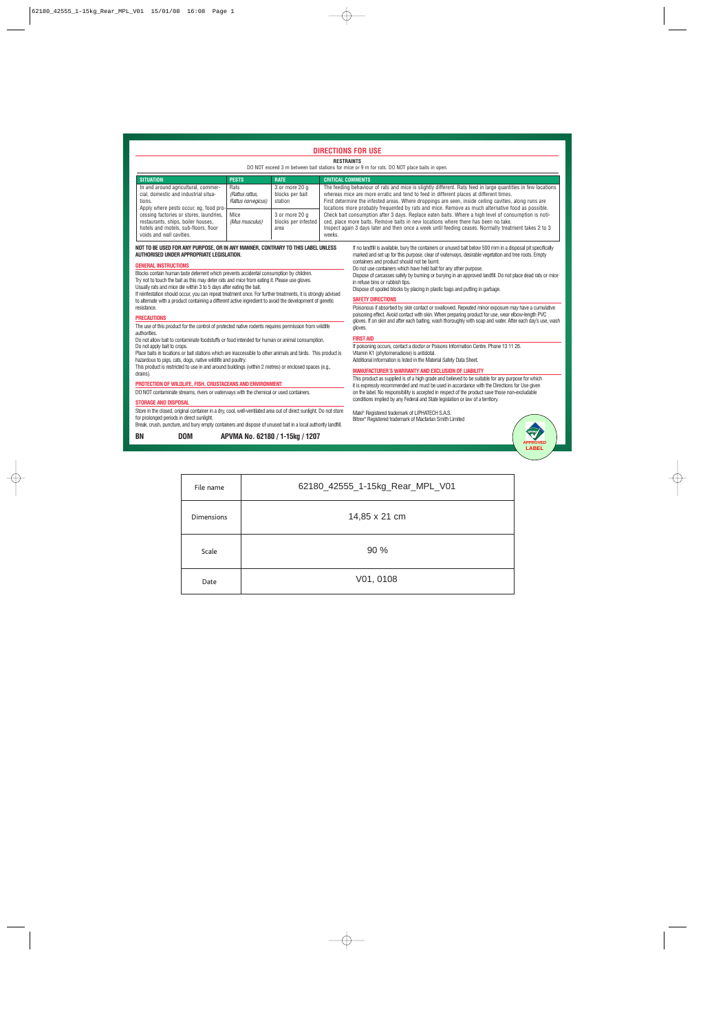#### **DIRECTIONS FOR USE**

#### **RESTRAINTS**

DO NOT exceed 3 m between bait stations for mice or 9 m for rats. DO NOT place baits in open.

| <b>SITUATION</b>                                                                                                                                                                                                                                                                     | <b>PESTS</b>                                         | <b>RATE</b>                                   | <b>CRITICAL COMMENTS</b>                                                                                                                                                                                                                                                                                                                                                                                                                                                                                                                                                                                                                                                                                                              |
|--------------------------------------------------------------------------------------------------------------------------------------------------------------------------------------------------------------------------------------------------------------------------------------|------------------------------------------------------|-----------------------------------------------|---------------------------------------------------------------------------------------------------------------------------------------------------------------------------------------------------------------------------------------------------------------------------------------------------------------------------------------------------------------------------------------------------------------------------------------------------------------------------------------------------------------------------------------------------------------------------------------------------------------------------------------------------------------------------------------------------------------------------------------|
| In and around agricultural, commer-<br>cial, domestic and industrial situa-<br>tions.<br>Apply where pests occur, eq. food pro-<br>cessing factories or stores, laundries,<br>restaurants, ships, boiler houses,<br>hotels and motels, sub-floors, floor<br>voids and wall cavities. | <b>Rats</b><br>(Rattus rattus,<br>Rattus norvegicus) | 3 or more 20 g<br>blocks per bait<br>station  | The feeding behaviour of rats and mice is slightly different. Rats feed in large quantities in few locations<br>whereas mice are more erratic and tend to feed in different places at different times.<br>First determine the infested areas. Where droppings are seen, inside ceiling cavities, along runs are<br>locations more probably frequented by rats and mice. Remove as much alternative food as possible.<br>Check bait consumption after 3 days. Replace eaten baits. Where a high level of consumption is noti-<br>ced, place more baits. Remove baits in new locations where there has been no take.<br>Inspect again 3 days later and then once a week until feeding ceases. Normally treatment takes 2 to 3<br>weeks. |
|                                                                                                                                                                                                                                                                                      | Mice<br>(Mus musculus)                               | 3 or more 20 a<br>blocks per infested<br>area |                                                                                                                                                                                                                                                                                                                                                                                                                                                                                                                                                                                                                                                                                                                                       |

#### **NOT TO BE USED FOR ANY PURPOSE, OR IN ANY MANNER, CONTRARY TO THIS LABEL UNLESS AUTHORISED UNDER APPROPRIATE LEGISLATION.**

#### **GENERAL INSTRUCTIONS**

Blocks contain human taste deterrent which prevents accidental consumption by children. Try not to touch the bait as this may deter rats and mice from eating it. Please use gloves. Usually rats and mice die within 3 to 5 days after eating the bait.

If reinfestation should occur, you can repeat treatment once. For further treatments, it is strongly advised to alternate with a product containing a different active ingredient to avoid the development of genetic resistance.

#### **PRECAUTIONS**

The use of this product for the control of protected native rodents requires permission from wildlife authorities.

Do not allow bait to contaminate foodstuffs or food intended for human or animal consumption. Do not apply bait to crops.

Place baits in locations or bait stations which are inaccessible to other animals and birds. This product is hazardous to pigs, cats, dogs, native wildlife and poultry.

This product is restricted to use in and around buildings (within 2 metres) or enclosed spaces (e.g., drains).

#### **PROTECTION OF WILDLIFE, FISH, CRUSTACEANS AND ENVIRONMENT**

DO NOT contaminate streams, rivers or waterways with the chemical or used containers.

#### **STORAGE AND DISPOSAL**

Store in the closed, original container in a dry, cool, well-ventilated area out of direct sunlight. Do not store for prolonged periods in direct sunlight.

Break, crush, puncture, and bury empty containers and dispose of unused bait in a local authority landfill.

**BN DOM APVMA No. 62180 / 1-15kg / 1207**

If no landfill is available, bury the containers or unused bait below 500 mm in a disposal pit specifically marked and set up for this purpose, clear of waterways, desirable vegetation and tree roots. Empty containers and product should not be burnt.

Do not use containers which have held bait for any other purpose.

Dispose of carcasses safely by burning or burying in an approved landfill. Do not place dead rats or mice in refuse bins or rubbish tips.

Dispose of spoiled blocks by placing in plastic bags and putting in garbage.

#### **SAFETY DIRECTIONS**

Poisonous if absorbed by skin contact or swallowed. Repeated minor exposure may have a cumulative poisoning effect. Avoid contact with skin. When preparing product for use, wear elbow-length PVC gloves. If on skin and after each baiting, wash thoroughly with soap and water. After each day's use, wash gloves.

#### **FIRST AID**

If poisoning occurs, contact a doctor or Poisons Information Centre. Phone 13 11 26. Vitamin K1 (phytomenadione) is antidotal. Additional information is listed in the Material Safety Data Sheet.

#### **MANUFACTURER'S WARRANTY AND EXCLUSION OF LIABILITY**

This product as supplied is of a high grade and believed to be suitable for any purpose for which it is expressly recommended and must be used in accordance with the Directions for Use given on the label. No responsibility is accepted in respect of the product save those non-excludable conditions implied by any Federal and State legislation or law of a territory.

Maki ® Registered trademark of LIPHATECH S.A.S. Bitrex® Registered trademark of Macfarlan Smith Limited



| File name         | 62180_42555_1-15kg_Rear_MPL_V01 |
|-------------------|---------------------------------|
| <b>Dimensions</b> | 14,85 x 21 cm                   |
| Scale             | 90%                             |
| Date              | V01, 0108                       |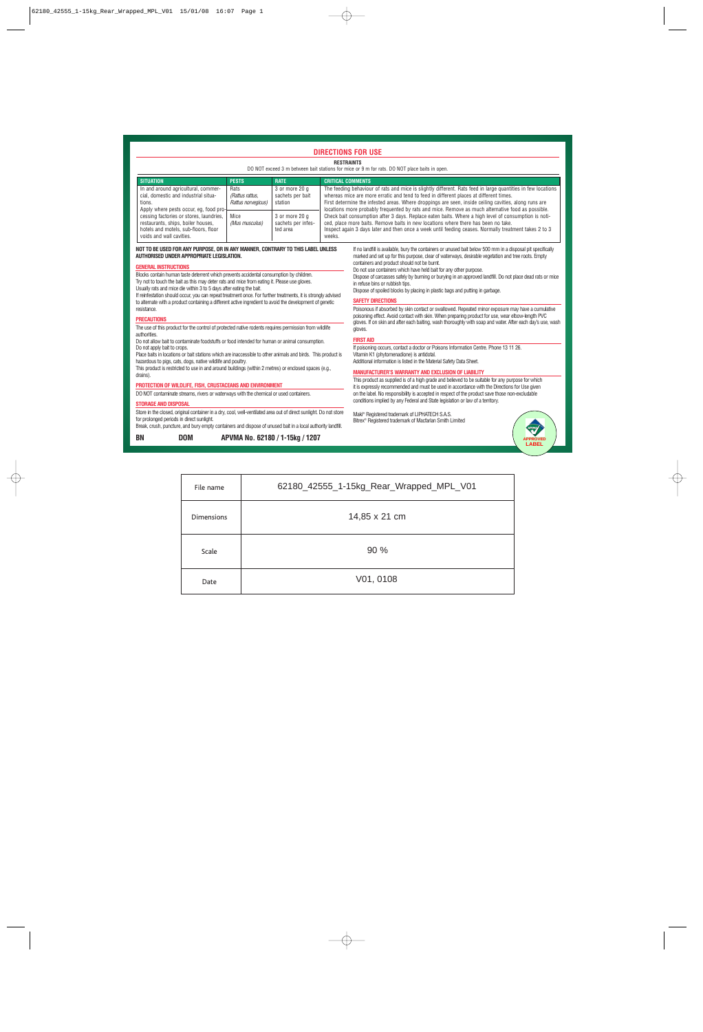#### **DIRECTIONS FOR USE**

#### **RESTRAINTS**

DO NOT exceed 3 m between bait stations for mice or 9 m for rats. DO NOT place baits in open.

| <b>SITUATION</b>                                                                                                                                                                                                                                                                     | <b>PESTS</b>                                  | <b>RATE</b>                                      | <b>CRITICAL COMMENTS</b>                                                                                                                                                                                                                                                                                                                                                                                                                                                                                                                                                                                                                                                                                                              |
|--------------------------------------------------------------------------------------------------------------------------------------------------------------------------------------------------------------------------------------------------------------------------------------|-----------------------------------------------|--------------------------------------------------|---------------------------------------------------------------------------------------------------------------------------------------------------------------------------------------------------------------------------------------------------------------------------------------------------------------------------------------------------------------------------------------------------------------------------------------------------------------------------------------------------------------------------------------------------------------------------------------------------------------------------------------------------------------------------------------------------------------------------------------|
| In and around agricultural, commer-<br>cial, domestic and industrial situa-<br>tions.<br>Apply where pests occur, eq. food pro-<br>cessing factories or stores, laundries,<br>restaurants, ships, boiler houses,<br>hotels and motels, sub-floors, floor<br>voids and wall cavities. | Rats<br>(Rattus rattus.<br>Rattus norvegicus) | 3 or more 20 a<br>sachets per bait<br>station    | The feeding behaviour of rats and mice is slightly different. Rats feed in large quantities in few locations<br>whereas mice are more erratic and tend to feed in different places at different times.<br>First determine the infested areas. Where droppings are seen, inside ceiling cavities, along runs are<br>locations more probably frequented by rats and mice. Remove as much alternative food as possible.<br>Check bait consumption after 3 days. Replace eaten baits. Where a high level of consumption is noti-<br>ced, place more baits. Remove baits in new locations where there has been no take.<br>Inspect again 3 days later and then once a week until feeding ceases. Normally treatment takes 2 to 3<br>weeks. |
|                                                                                                                                                                                                                                                                                      | Mice<br>(Mus musculus)                        | 3 or more 20 a<br>sachets per infes-<br>ted area |                                                                                                                                                                                                                                                                                                                                                                                                                                                                                                                                                                                                                                                                                                                                       |

#### **NOT TO BE USED FOR ANY PURPOSE, OR IN ANY MANNER, CONTRARY TO THIS LABEL UNLESS AUTHORISED UNDER APPROPRIATE LEGISLATION.**

#### **GENERAL INSTRUCTIONS**

Blocks contain human taste deterrent which prevents accidental consumption by children. Try not to touch the bait as this may deter rats and mice from eating it. Please use gloves. Usually rats and mice die within 3 to 5 days after eating the bait.

If reinfestation should occur, you can repeat treatment once. For further treatments, it is strongly advised to alternate with a product containing a different active ingredient to avoid the development of genetic resistance.

#### **PRECAUTIONS**

The use of this product for the control of protected native rodents requires permission from wildlife authorities.

Do not allow bait to contaminate foodstuffs or food intended for human or animal consumption. Do not apply bait to crops.

Place baits in locations or bait stations which are inaccessible to other animals and birds. This product is hazardous to pigs, cats, dogs, native wildlife and poultry.

This product is restricted to use in and around buildings (within 2 metres) or enclosed spaces (e.g., drains).

#### **PROTECTION OF WILDLIFE, FISH, CRUSTACEANS AND ENVIRONMENT**

DO NOT contaminate streams, rivers or waterways with the chemical or used containers.

#### **STORAGE AND DISPOSAL**

Store in the closed, original container in a dry, cool, well-ventilated area out of direct sunlight. Do not store for prolonged periods in direct sunlight.

Break, crush, puncture, and bury empty containers and dispose of unused bait in a local authority landfill.

**BN DOM APVMA No. 62180 / 1-15kg / 1207**

If no landfill is available, bury the containers or unused bait below 500 mm in a disposal pit specifically marked and set up for this purpose, clear of waterways, desirable vegetation and tree roots. Empty containers and product should not be burnt.

Do not use containers which have held bait for any other purpose.

Dispose of carcasses safely by burning or burying in an approved landfill. Do not place dead rats or mice in refuse bins or rubbish tips.

Dispose of spoiled blocks by placing in plastic bags and putting in garbage.

#### **SAFETY DIRECTIONS**

Poisonous if absorbed by skin contact or swallowed. Repeated minor exposure may have a cumulative poisoning effect. Avoid contact with skin. When preparing product for use, wear elbow-length PVC gloves. If on skin and after each baiting, wash thoroughly with soap and water. After each day's use, wash gloves.

#### **FIRST AID**

If poisoning occurs, contact a doctor or Poisons Information Centre. Phone 13 11 26. Vitamin K1 (phytomenadione) is antidotal. Additional information is listed in the Material Safety Data Sheet.

#### **MANUFACTURER'S WARRANTY AND EXCLUSION OF LIABILITY**

This product as supplied is of a high grade and believed to be suitable for any purpose for which it is expressly recommended and must be used in accordance with the Directions for Use given on the label. No responsibility is accepted in respect of the product save those non-excludable conditions implied by any Federal and State legislation or law of a territory.

Maki ® Registered trademark of LIPHATECH S.A.S. Bitrex® Registered trademark of Macfarlan Smith Limited



| File name         | 62180_42555_1-15kg_Rear_Wrapped_MPL_V01 |
|-------------------|-----------------------------------------|
| <b>Dimensions</b> | 14,85 x 21 cm                           |
| Scale             | 90%                                     |
| Date              | V01, 0108                               |